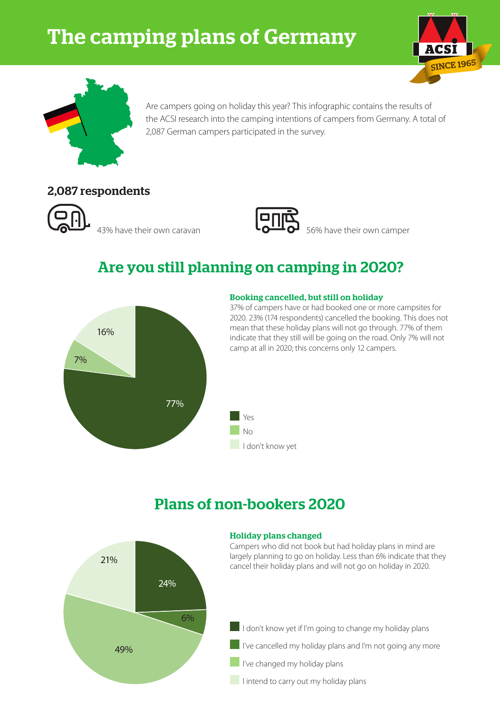# The camping plans of Germany





Are campers going on holiday this year? This infographic contains the results of the ACSI research into the camping intentions of campers from Germany. A total of 2,087 German campers participated in the survey.

### 2,087 respondents





43% have their own caravan  $\overline{1}$   $\overline{0}$   $\overline{1}$   $\overline{0}$  56% have their own camper

# Are you still planning on camping in 2020?



#### Booking cancelled, but still on holiday

37% of campers have or had booked one or more campsites for 2020. 23% (174 respondents) cancelled the booking. This does not mean that these holiday plans will not go through. 77% of them indicate that they still will be going on the road. Only 7% will not camp at all in 2020; this concerns only 12 campers.



## Plans of non-bookers 2020